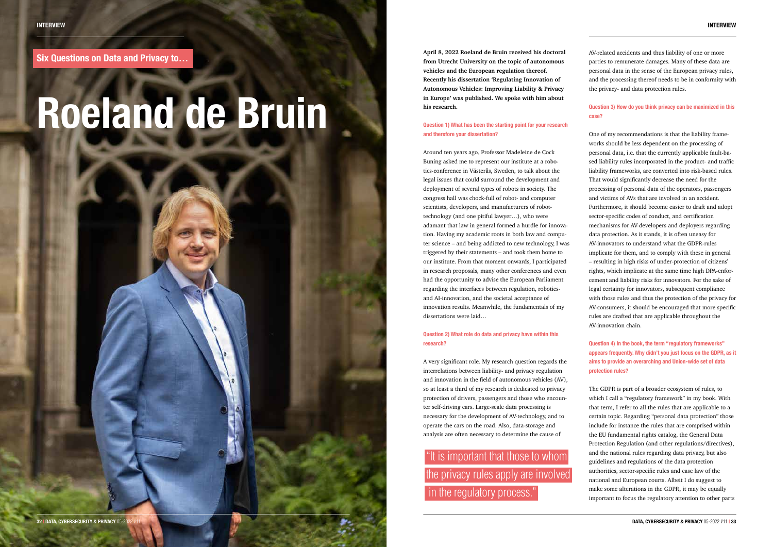**April 8, 2022 Roeland de Bruin received his doctoral from Utrecht University on the topic of autonomous vehicles and the European regulation thereof. Recently his dissertation 'Regulating Innovation of Autonomous Vehicles: Improving Liability & Privacy in Europe' was published. We spoke with him about his research.**

**Question 1) What has been the starting point for your research and therefore your dissertation?**

Around ten years ago, Professor Madeleine de Cock Buning asked me to represent our institute at a robotics-conference in Västerås, Sweden, to talk about the legal issues that could surround the development and deployment of several types of robots in society. The congress hall was chock-full of robot- and computer scientists, developers, and manufacturers of robottechnology (and one pitiful lawyer…), who were adamant that law in general formed a hurdle for innovation. Having my academic roots in both law and computer science – and being addicted to new technology, I was triggered by their statements – and took them home to our institute. From that moment onwards, I participated in research proposals, many other conferences and even had the opportunity to advise the European Parliament regarding the interfaces between regulation, roboticsand AI-innovation, and the societal acceptance of innovation results. Meanwhile, the fundamentals of my dissertations were laid…

**Question 2) What role do data and privacy have within this research?**

A very significant role. My research question regards the interrelations between liability- and privacy regulation and innovation in the field of autonomous vehicles (AV), so at least a third of my research is dedicated to privacy protection of drivers, passengers and those who encounter self-driving cars. Large-scale data processing is necessary for the development of AV-technology, and to operate the cars on the road. Also, data-storage and analysis are often necessary to determine the cause of

AV-related accidents and thus liability of one or more parties to remunerate damages. Many of these data are personal data in the sense of the European privacy rules, and the processing thereof needs to be in conformity with the privacy- and data protection rules.

"It is important that those to whom the privacy rules apply are involved in the regulatory process."

#### **Question 3) How do you think privacy can be maximized in this case?**

One of my recommendations is that the liability frameworks should be less dependent on the processing of personal data, i.e. that the currently applicable fault-based liability rules incorporated in the product- and traffic liability frameworks, are converted into risk-based rules. That would significantly decrease the need for the processing of personal data of the operators, passengers and victims of AVs that are involved in an accident. Furthermore, it should become easier to draft and adopt sector-specific codes of conduct, and certification mechanisms for AV-developers and deployers regarding data protection. As it stands, it is often uneasy for AV-innovators to understand what the GDPR-rules implicate for them, and to comply with these in general – resulting in high risks of under-protection of citizens' rights, which implicate at the same time high DPA-enforcement and liability risks for innovators. For the sake of legal certainty for innovators, subsequent compliance with those rules and thus the protection of the privacy for AV-consumers, it should be encouraged that more specific rules are drafted that are applicable throughout the AV-innovation chain.

#### **Question 4) In the book, the term "regulatory frameworks" appears frequently. Why didn't you just focus on the GDPR, as it aims to provide an overarching and Union-wide set of data protection rules?**

The GDPR is part of a broader ecosystem of rules, to which I call a "regulatory framework" in my book. With that term, I refer to all the rules that are applicable to a certain topic. Regarding "personal data protection" those include for instance the rules that are comprised within the EU fundamental rights catalog, the General Data Protection Regulation (and other regulations/directives), and the national rules regarding data privacy, but also guidelines and regulations of the data protection authorities, sector-specific rules and case law of the national and European courts. Albeit I do suggest to make some alterations in the GDPR, it may be equally important to focus the regulatory attention to other parts

**Six Questions on Data and Privacy to…**

# **Roeland de Bruin**